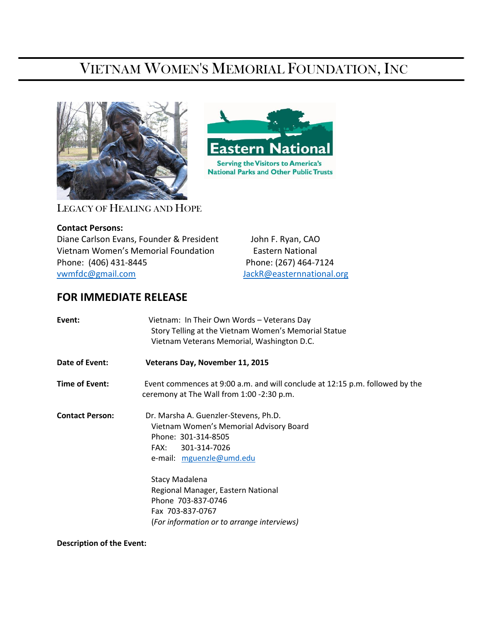# VIETNAM WOMEN'S MEMORIAL FOUNDATION, INC

**Eastern National Serving the Visitors to America's National Parks and Other Public Trusts** 



LEGACY OF HEALING AND HOPE

### **Contact Persons:**

֖֚֚֚֬

Diane Carlson Evans, Founder & President John F. Ryan, CAO Vietnam Women's Memorial Foundation Eastern National Phone: (406) 431-8445 Phone: (267) 464-7124 [vwmfdc@gmail.com](mailto:vwmfdc@gmail.com) [JackR@easternnational.org](mailto:JackR@easternnational.org)

## **FOR IMMEDIATE RELEASE**

| Event:                 | Vietnam: In Their Own Words - Veterans Day<br>Story Telling at the Vietnam Women's Memorial Statue<br>Vietnam Veterans Memorial, Washington D.C.            |
|------------------------|-------------------------------------------------------------------------------------------------------------------------------------------------------------|
| Date of Event:         | Veterans Day, November 11, 2015                                                                                                                             |
| Time of Event:         | Event commences at 9:00 a.m. and will conclude at 12:15 p.m. followed by the<br>ceremony at The Wall from 1:00 -2:30 p.m.                                   |
| <b>Contact Person:</b> | Dr. Marsha A. Guenzler-Stevens, Ph.D.<br>Vietnam Women's Memorial Advisory Board<br>Phone: 301-314-8505<br>301-314-7026<br>FAX:<br>e-mail: mguenzle@umd.edu |
|                        | Stacy Madalena<br>Regional Manager, Eastern National<br>Phone 703-837-0746<br>Fax 703-837-0767<br>(For information or to arrange interviews)                |

**Description of the Event:**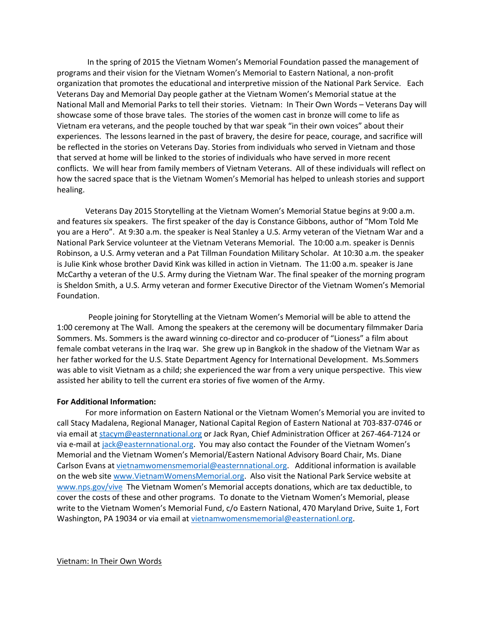In the spring of 2015 the Vietnam Women's Memorial Foundation passed the management of programs and their vision for the Vietnam Women's Memorial to Eastern National, a non-profit organization that promotes the educational and interpretive mission of the National Park Service. Each Veterans Day and Memorial Day people gather at the Vietnam Women's Memorial statue at the National Mall and Memorial Parks to tell their stories. Vietnam: In Their Own Words – Veterans Day will showcase some of those brave tales. The stories of the women cast in bronze will come to life as Vietnam era veterans, and the people touched by that war speak "in their own voices" about their experiences. The lessons learned in the past of bravery, the desire for peace, courage, and sacrifice will be reflected in the stories on Veterans Day. Stories from individuals who served in Vietnam and those that served at home will be linked to the stories of individuals who have served in more recent conflicts. We will hear from family members of Vietnam Veterans. All of these individuals will reflect on how the sacred space that is the Vietnam Women's Memorial has helped to unleash stories and support healing.

Veterans Day 2015 Storytelling at the Vietnam Women's Memorial Statue begins at 9:00 a.m. and features six speakers. The first speaker of the day is Constance Gibbons, author of "Mom Told Me you are a Hero". At 9:30 a.m. the speaker is Neal Stanley a U.S. Army veteran of the Vietnam War and a National Park Service volunteer at the Vietnam Veterans Memorial. The 10:00 a.m. speaker is Dennis Robinson, a U.S. Army veteran and a Pat Tillman Foundation Military Scholar. At 10:30 a.m. the speaker is Julie Kink whose brother David Kink was killed in action in Vietnam. The 11:00 a.m. speaker is Jane McCarthy a veteran of the U.S. Army during the Vietnam War. The final speaker of the morning program is Sheldon Smith, a U.S. Army veteran and former Executive Director of the Vietnam Women's Memorial Foundation.

 People joining for Storytelling at the Vietnam Women's Memorial will be able to attend the 1:00 ceremony at The Wall. Among the speakers at the ceremony will be documentary filmmaker Daria Sommers. Ms. Sommers is the award winning co-director and co-producer of "Lioness" a film about female combat veterans in the Iraq war. She grew up in Bangkok in the shadow of the Vietnam War as her father worked for the U.S. State Department Agency for International Development. Ms.Sommers was able to visit Vietnam as a child; she experienced the war from a very unique perspective. This view assisted her ability to tell the current era stories of five women of the Army.

#### **For Additional Information:**

For more information on Eastern National or the Vietnam Women's Memorial you are invited to call Stacy Madalena, Regional Manager, National Capital Region of Eastern National at 703-837-0746 or via email at [stacym@easternnational.org](mailto:stacym@easternnational.org) or Jack Ryan, Chief Administration Officer at 267-464-7124 or via e-mail at [jack@easternnational.org.](mailto:jack@easternnational.org) You may also contact the Founder of the Vietnam Women's Memorial and the Vietnam Women's Memorial/Eastern National Advisory Board Chair, Ms. Diane Carlson Evans a[t vietnamwomensmemorial@easternnational.org.](mailto:vietnamwomensmemorial@easternnational.org) Additional information is available on the web sit[e www.VietnamWomensMemorial.org.](http://www.vietnamwomensmemorial.org/) Also visit the National Park Service website at [www.nps.gov/vive](http://www.nps.gov/vive) The Vietnam Women's Memorial accepts donations, which are tax deductible, to cover the costs of these and other programs. To donate to the Vietnam Women's Memorial, please write to the Vietnam Women's Memorial Fund, c/o Eastern National, 470 Maryland Drive, Suite 1, Fort Washington, PA 19034 or via email at [vietnamwomensmemorial@easternationl.org.](mailto:vietnamwomensmemorial@easternationl.org)

#### Vietnam: In Their Own Words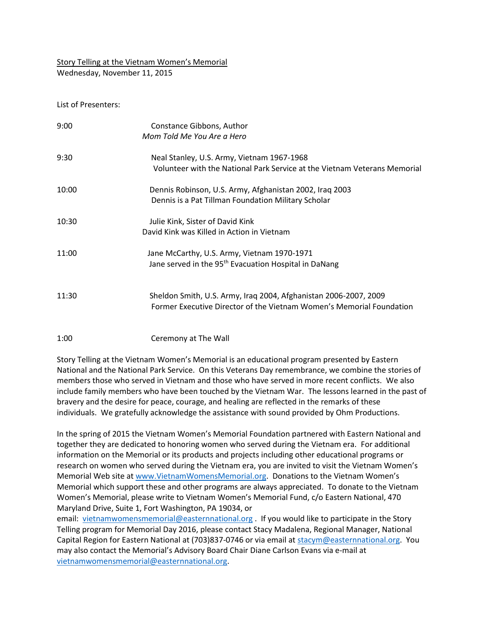Story Telling at the Vietnam Women's Memorial Wednesday, November 11, 2015

List of Presenters:

| 9:00  | Constance Gibbons, Author<br>Mom Told Me You Are a Hero                                                                                  |
|-------|------------------------------------------------------------------------------------------------------------------------------------------|
| 9:30  | Neal Stanley, U.S. Army, Vietnam 1967-1968<br>Volunteer with the National Park Service at the Vietnam Veterans Memorial                  |
| 10:00 | Dennis Robinson, U.S. Army, Afghanistan 2002, Iraq 2003<br>Dennis is a Pat Tillman Foundation Military Scholar                           |
| 10:30 | Julie Kink, Sister of David Kink<br>David Kink was Killed in Action in Vietnam                                                           |
| 11:00 | Jane McCarthy, U.S. Army, Vietnam 1970-1971<br>Jane served in the 95 <sup>th</sup> Evacuation Hospital in DaNang                         |
| 11:30 | Sheldon Smith, U.S. Army, Iraq 2004, Afghanistan 2006-2007, 2009<br>Former Executive Director of the Vietnam Women's Memorial Foundation |

#### 1:00 Ceremony at The Wall

Story Telling at the Vietnam Women's Memorial is an educational program presented by Eastern National and the National Park Service. On this Veterans Day remembrance, we combine the stories of members those who served in Vietnam and those who have served in more recent conflicts. We also include family members who have been touched by the Vietnam War. The lessons learned in the past of bravery and the desire for peace, courage, and healing are reflected in the remarks of these individuals. We gratefully acknowledge the assistance with sound provided by Ohm Productions.

In the spring of 2015 the Vietnam Women's Memorial Foundation partnered with Eastern National and together they are dedicated to honoring women who served during the Vietnam era. For additional information on the Memorial or its products and projects including other educational programs or research on women who served during the Vietnam era, you are invited to visit the Vietnam Women's Memorial Web site a[t www.VietnamWomensMemorial.org.](http://www.vietnamwomensmemorial.org/) Donations to the Vietnam Women's Memorial which support these and other programs are always appreciated. To donate to the Vietnam Women's Memorial, please write to Vietnam Women's Memorial Fund, c/o Eastern National, 470 Maryland Drive, Suite 1, Fort Washington, PA 19034, or

email: [vietnamwomensmemorial@easternnational.org](mailto:vietnamwomensmemorial@easternnational.org) . If you would like to participate in the Story Telling program for Memorial Day 2016, please contact Stacy Madalena, Regional Manager, National Capital Region for Eastern National at (703)837-0746 or via email at [stacym@easternnational.org.](mailto:stacym@easternnational.org) You may also contact the Memorial's Advisory Board Chair Diane Carlson Evans via e-mail at [vietnamwomensmemorial@easternnational.org.](mailto:vietnamwomensmemorial@easternnational.org)